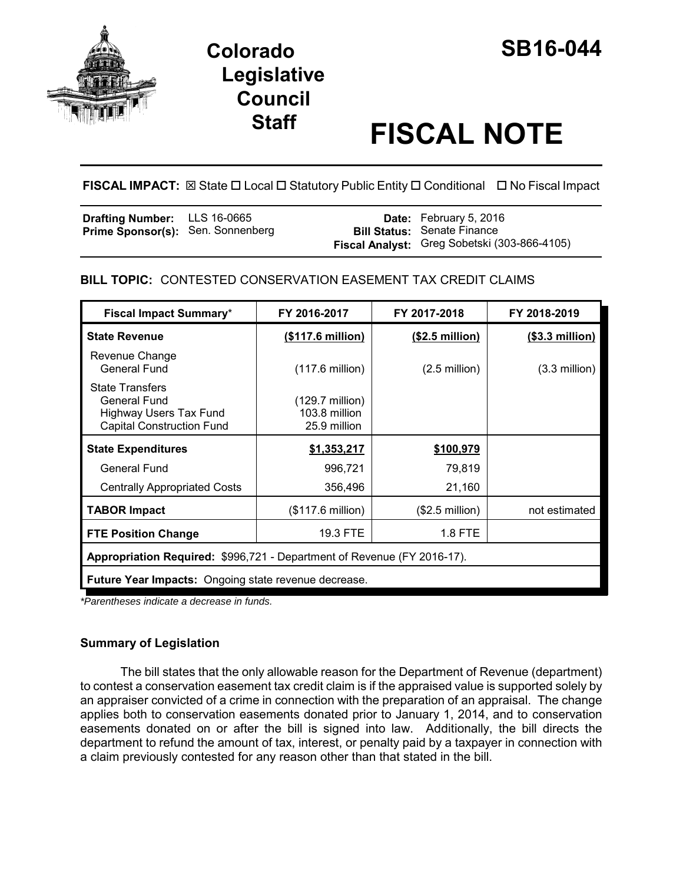

# **Colorado SB16-044 Legislative Council**

# **Staff FISCAL NOTE**

**FISCAL IMPACT:** ⊠ State □ Local □ Statutory Public Entity □ Conditional □ No Fiscal Impact

| <b>Drafting Number:</b> LLS 16-0665      |  | <b>Date:</b> February 5, 2016                |
|------------------------------------------|--|----------------------------------------------|
| <b>Prime Sponsor(s): Sen. Sonnenberg</b> |  | <b>Bill Status: Senate Finance</b>           |
|                                          |  | Fiscal Analyst: Greg Sobetski (303-866-4105) |

# **BILL TOPIC:** CONTESTED CONSERVATION EASEMENT TAX CREDIT CLAIMS

| <b>Fiscal Impact Summary*</b>                                                                        | FY 2016-2017                                               | FY 2017-2018             | FY 2018-2019            |  |  |
|------------------------------------------------------------------------------------------------------|------------------------------------------------------------|--------------------------|-------------------------|--|--|
| <b>State Revenue</b>                                                                                 | (\$117.6 million)                                          | $($2.5$ million)         | $($ \$3.3 million $)$   |  |  |
| Revenue Change<br>General Fund                                                                       | $(117.6 \text{ million})$                                  | $(2.5 \text{ million})$  | $(3.3 \text{ million})$ |  |  |
| <b>State Transfers</b><br>General Fund<br>Highway Users Tax Fund<br><b>Capital Construction Fund</b> | $(129.7 \text{ million})$<br>103.8 million<br>25.9 million |                          |                         |  |  |
| <b>State Expenditures</b>                                                                            | \$1,353,217                                                | \$100,979                |                         |  |  |
| <b>General Fund</b>                                                                                  | 996,721                                                    | 79,819                   |                         |  |  |
| <b>Centrally Appropriated Costs</b>                                                                  | 356,496                                                    | 21,160                   |                         |  |  |
| <b>TABOR Impact</b>                                                                                  | (\$117.6 million)                                          | $($2.5 \text{ million})$ | not estimated           |  |  |
| <b>FTE Position Change</b>                                                                           | 19.3 FTE                                                   | 1.8 FTE                  |                         |  |  |
| Appropriation Required: \$996,721 - Department of Revenue (FY 2016-17).                              |                                                            |                          |                         |  |  |
| <b>Future Year Impacts:</b> Ongoing state revenue decrease.                                          |                                                            |                          |                         |  |  |

*\*Parentheses indicate a decrease in funds.*

# **Summary of Legislation**

The bill states that the only allowable reason for the Department of Revenue (department) to contest a conservation easement tax credit claim is if the appraised value is supported solely by an appraiser convicted of a crime in connection with the preparation of an appraisal. The change applies both to conservation easements donated prior to January 1, 2014, and to conservation easements donated on or after the bill is signed into law. Additionally, the bill directs the department to refund the amount of tax, interest, or penalty paid by a taxpayer in connection with a claim previously contested for any reason other than that stated in the bill.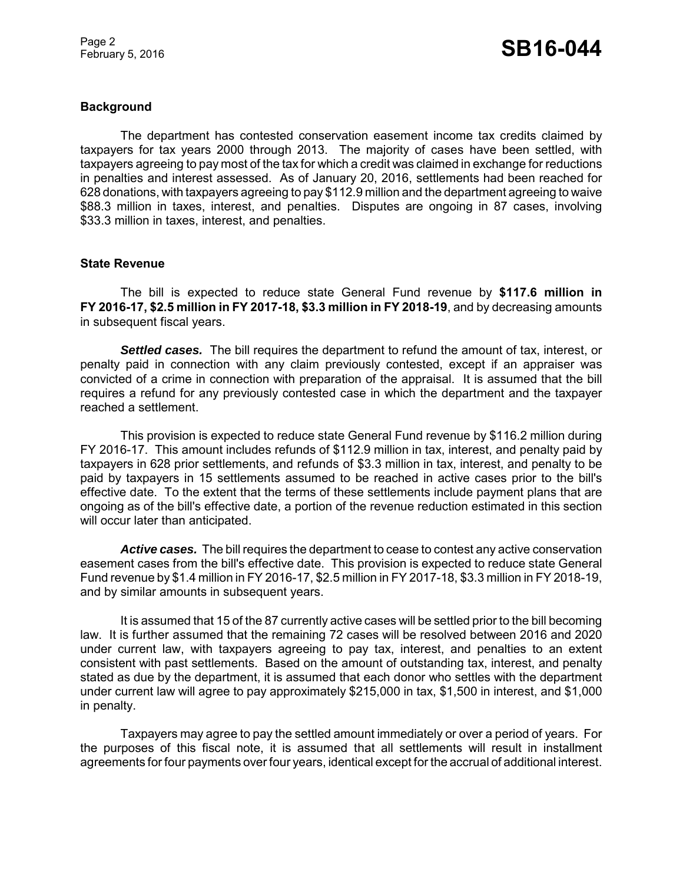Page 2

#### **Background**

The department has contested conservation easement income tax credits claimed by taxpayers for tax years 2000 through 2013. The majority of cases have been settled, with taxpayers agreeing to pay most of the tax for which a credit was claimed in exchange for reductions in penalties and interest assessed. As of January 20, 2016, settlements had been reached for 628 donations, with taxpayers agreeing to pay \$112.9 million and the department agreeing to waive \$88.3 million in taxes, interest, and penalties. Disputes are ongoing in 87 cases, involving \$33.3 million in taxes, interest, and penalties.

#### **State Revenue**

The bill is expected to reduce state General Fund revenue by **\$117.6 million in FY 2016-17, \$2.5 million in FY 2017-18, \$3.3 million in FY 2018-19**, and by decreasing amounts in subsequent fiscal years.

*Settled cases.* The bill requires the department to refund the amount of tax, interest, or penalty paid in connection with any claim previously contested, except if an appraiser was convicted of a crime in connection with preparation of the appraisal. It is assumed that the bill requires a refund for any previously contested case in which the department and the taxpayer reached a settlement.

This provision is expected to reduce state General Fund revenue by \$116.2 million during FY 2016-17. This amount includes refunds of \$112.9 million in tax, interest, and penalty paid by taxpayers in 628 prior settlements, and refunds of \$3.3 million in tax, interest, and penalty to be paid by taxpayers in 15 settlements assumed to be reached in active cases prior to the bill's effective date. To the extent that the terms of these settlements include payment plans that are ongoing as of the bill's effective date, a portion of the revenue reduction estimated in this section will occur later than anticipated.

*Active cases.* The bill requires the department to cease to contest any active conservation easement cases from the bill's effective date. This provision is expected to reduce state General Fund revenue by \$1.4 million in FY 2016-17, \$2.5 million in FY 2017-18, \$3.3 million in FY 2018-19, and by similar amounts in subsequent years.

It is assumed that 15 of the 87 currently active cases will be settled prior to the bill becoming law. It is further assumed that the remaining 72 cases will be resolved between 2016 and 2020 under current law, with taxpayers agreeing to pay tax, interest, and penalties to an extent consistent with past settlements. Based on the amount of outstanding tax, interest, and penalty stated as due by the department, it is assumed that each donor who settles with the department under current law will agree to pay approximately \$215,000 in tax, \$1,500 in interest, and \$1,000 in penalty.

Taxpayers may agree to pay the settled amount immediately or over a period of years. For the purposes of this fiscal note, it is assumed that all settlements will result in installment agreements for four payments over four years, identical except for the accrual of additional interest.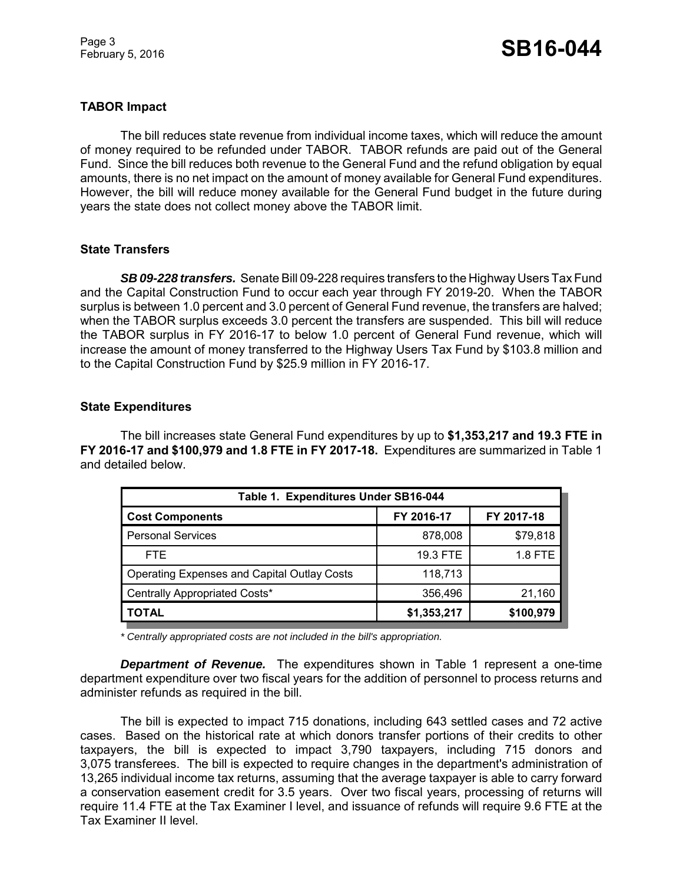Page 3

### **TABOR Impact**

The bill reduces state revenue from individual income taxes, which will reduce the amount of money required to be refunded under TABOR. TABOR refunds are paid out of the General Fund. Since the bill reduces both revenue to the General Fund and the refund obligation by equal amounts, there is no net impact on the amount of money available for General Fund expenditures. However, the bill will reduce money available for the General Fund budget in the future during years the state does not collect money above the TABOR limit.

#### **State Transfers**

*SB 09-228 transfers.* Senate Bill 09-228 requires transfers to the Highway Users Tax Fund and the Capital Construction Fund to occur each year through FY 2019-20. When the TABOR surplus is between 1.0 percent and 3.0 percent of General Fund revenue, the transfers are halved; when the TABOR surplus exceeds 3.0 percent the transfers are suspended. This bill will reduce the TABOR surplus in FY 2016-17 to below 1.0 percent of General Fund revenue, which will increase the amount of money transferred to the Highway Users Tax Fund by \$103.8 million and to the Capital Construction Fund by \$25.9 million in FY 2016-17.

#### **State Expenditures**

The bill increases state General Fund expenditures by up to **\$1,353,217 and 19.3 FTE in FY 2016-17 and \$100,979 and 1.8 FTE in FY 2017-18.** Expenditures are summarized in Table 1 and detailed below.

| Table 1. Expenditures Under SB16-044               |             |            |  |  |  |
|----------------------------------------------------|-------------|------------|--|--|--|
| <b>Cost Components</b>                             | FY 2016-17  | FY 2017-18 |  |  |  |
| <b>Personal Services</b>                           | 878,008     | \$79,818   |  |  |  |
| FTE.                                               | 19.3 FTE    | 1.8 FTE    |  |  |  |
| <b>Operating Expenses and Capital Outlay Costs</b> | 118,713     |            |  |  |  |
| Centrally Appropriated Costs*                      | 356,496     | 21,160     |  |  |  |
| TOTAL                                              | \$1,353,217 | \$100,979  |  |  |  |

*\* Centrally appropriated costs are not included in the bill's appropriation.*

*Department of Revenue.* The expenditures shown in Table 1 represent a one-time department expenditure over two fiscal years for the addition of personnel to process returns and administer refunds as required in the bill.

The bill is expected to impact 715 donations, including 643 settled cases and 72 active cases. Based on the historical rate at which donors transfer portions of their credits to other taxpayers, the bill is expected to impact 3,790 taxpayers, including 715 donors and 3,075 transferees. The bill is expected to require changes in the department's administration of 13,265 individual income tax returns, assuming that the average taxpayer is able to carry forward a conservation easement credit for 3.5 years. Over two fiscal years, processing of returns will require 11.4 FTE at the Tax Examiner I level, and issuance of refunds will require 9.6 FTE at the Tax Examiner II level.